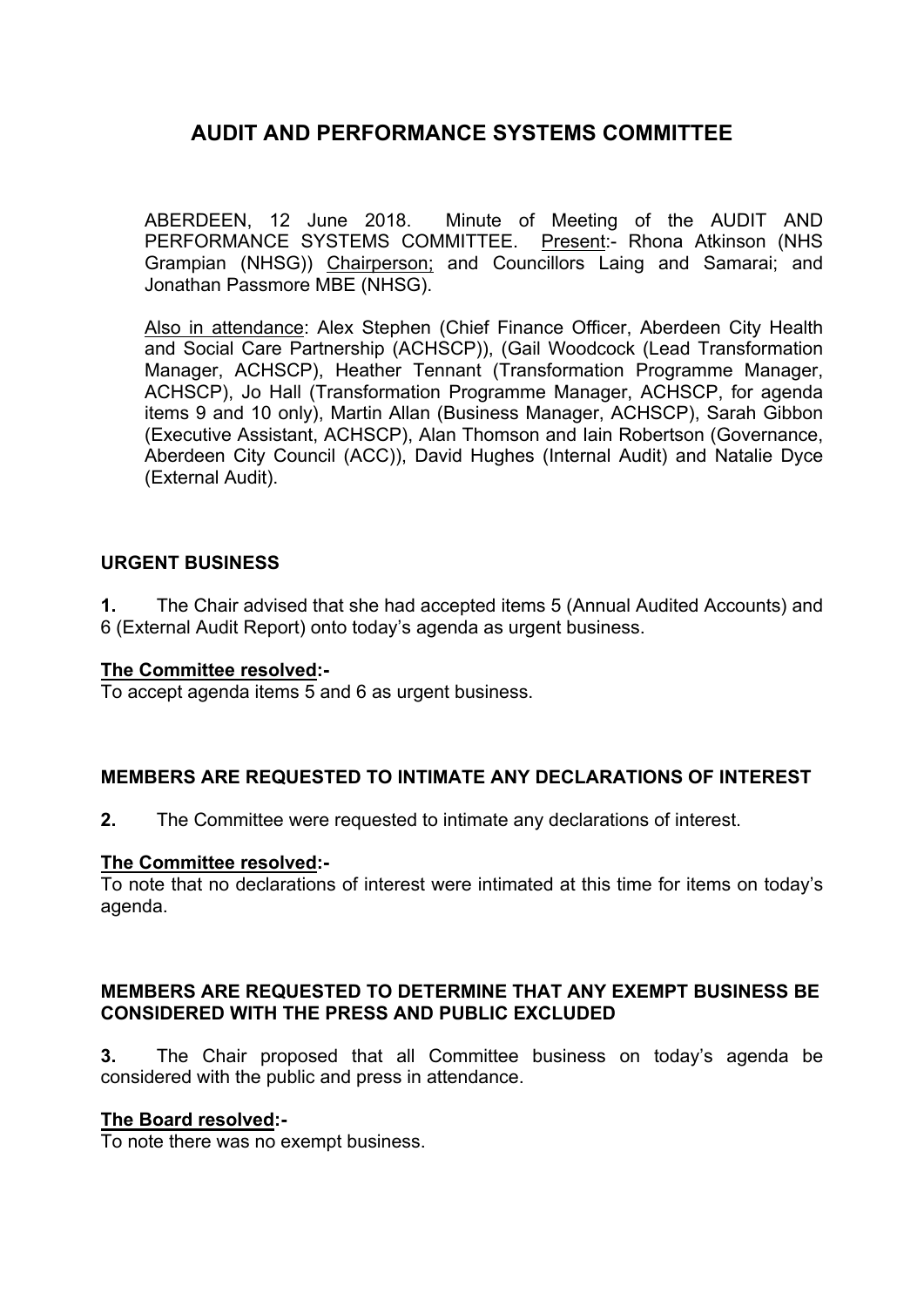ABERDEEN, 12 June 2018. Minute of Meeting of the AUDIT AND PERFORMANCE SYSTEMS COMMITTEE. Present:- Rhona Atkinson (NHS Grampian (NHSG)) Chairperson; and Councillors Laing and Samarai; and Jonathan Passmore MBE (NHSG).

Also in attendance: Alex Stephen (Chief Finance Officer, Aberdeen City Health and Social Care Partnership (ACHSCP)), (Gail Woodcock (Lead Transformation Manager, ACHSCP), Heather Tennant (Transformation Programme Manager, ACHSCP), Jo Hall (Transformation Programme Manager, ACHSCP, for agenda items 9 and 10 only), Martin Allan (Business Manager, ACHSCP), Sarah Gibbon (Executive Assistant, ACHSCP), Alan Thomson and Iain Robertson (Governance, Aberdeen City Council (ACC)), David Hughes (Internal Audit) and Natalie Dyce (External Audit).

### **URGENT BUSINESS**

**1.** The Chair advised that she had accepted items 5 (Annual Audited Accounts) and 6 (External Audit Report) onto today's agenda as urgent business.

#### **The Committee resolved:-**

To accept agenda items 5 and 6 as urgent business.

#### **MEMBERS ARE REQUESTED TO INTIMATE ANY DECLARATIONS OF INTEREST**

**2.** The Committee were requested to intimate any declarations of interest.

#### **The Committee resolved:-**

To note that no declarations of interest were intimated at this time for items on today's agenda.

#### **MEMBERS ARE REQUESTED TO DETERMINE THAT ANY EXEMPT BUSINESS BE CONSIDERED WITH THE PRESS AND PUBLIC EXCLUDED**

**3.** The Chair proposed that all Committee business on today's agenda be considered with the public and press in attendance.

#### **The Board resolved:-**

To note there was no exempt business.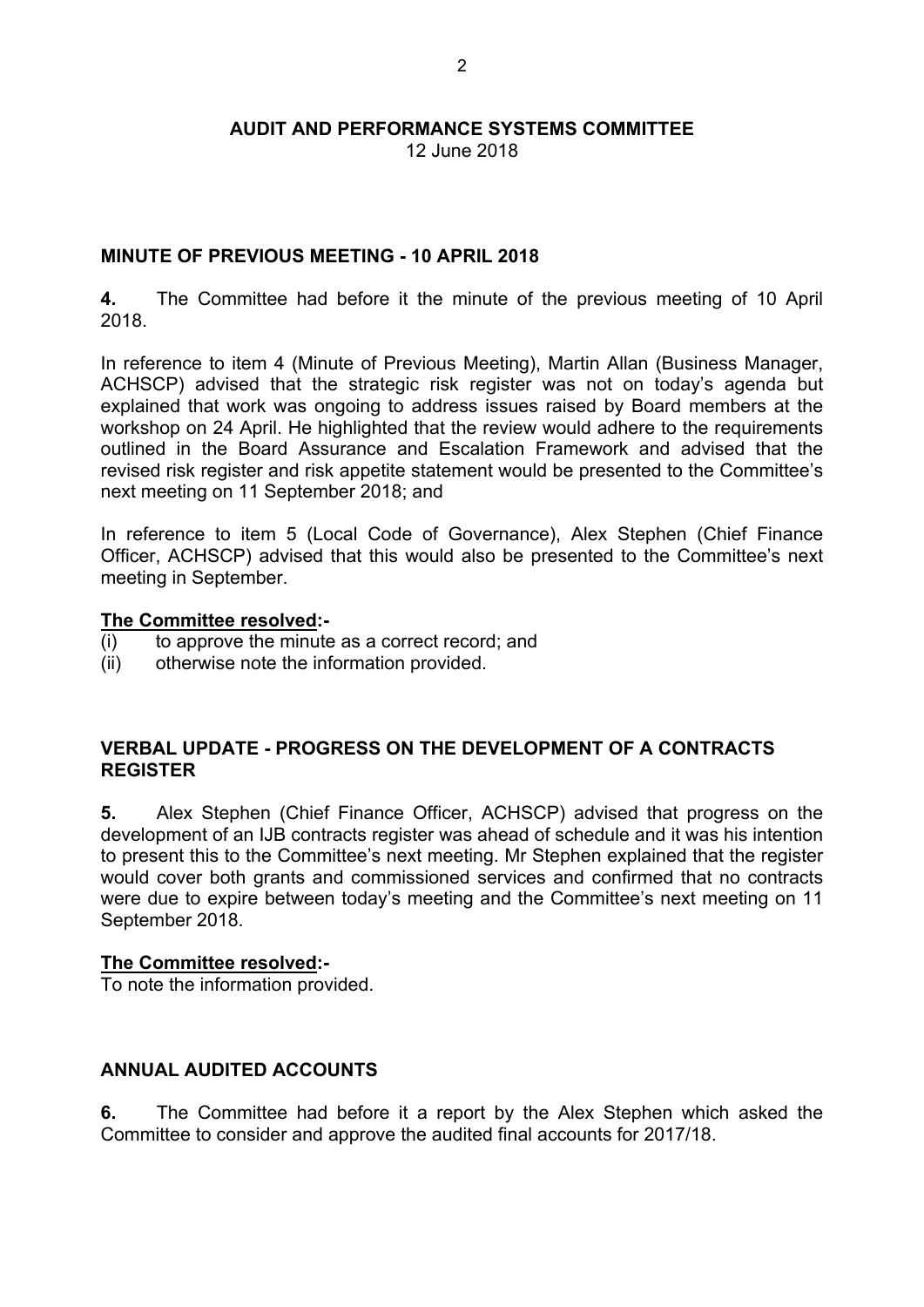12 June 2018

### **MINUTE OF PREVIOUS MEETING - 10 APRIL 2018**

**4.** The Committee had before it the minute of the previous meeting of 10 April 2018.

In reference to item 4 (Minute of Previous Meeting), Martin Allan (Business Manager, ACHSCP) advised that the strategic risk register was not on today's agenda but explained that work was ongoing to address issues raised by Board members at the workshop on 24 April. He highlighted that the review would adhere to the requirements outlined in the Board Assurance and Escalation Framework and advised that the revised risk register and risk appetite statement would be presented to the Committee's next meeting on 11 September 2018; and

In reference to item 5 (Local Code of Governance), Alex Stephen (Chief Finance Officer, ACHSCP) advised that this would also be presented to the Committee's next meeting in September.

#### **The Committee resolved:-**

- (i) to approve the minute as a correct record; and
- (ii) otherwise note the information provided.

#### **VERBAL UPDATE - PROGRESS ON THE DEVELOPMENT OF A CONTRACTS REGISTER**

**5.** Alex Stephen (Chief Finance Officer, ACHSCP) advised that progress on the development of an IJB contracts register was ahead of schedule and it was his intention to present this to the Committee's next meeting. Mr Stephen explained that the register would cover both grants and commissioned services and confirmed that no contracts were due to expire between today's meeting and the Committee's next meeting on 11 September 2018.

#### **The Committee resolved:-**

To note the information provided.

#### **ANNUAL AUDITED ACCOUNTS**

**6.** The Committee had before it a report by the Alex Stephen which asked the Committee to consider and approve the audited final accounts for 2017/18.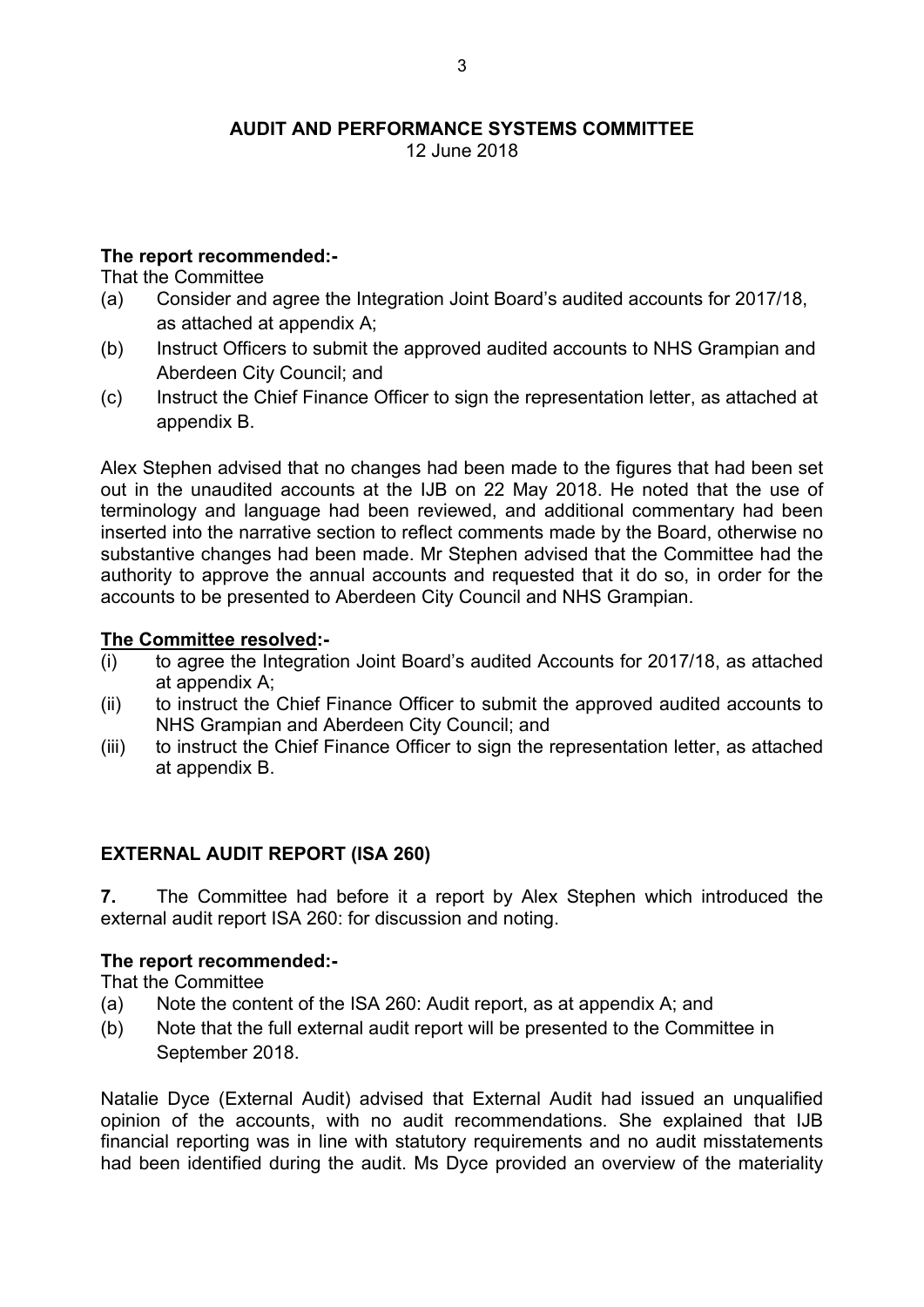12 June 2018

# **The report recommended:-**

That the Committee

- (a) Consider and agree the Integration Joint Board's audited accounts for 2017/18, as attached at appendix A;
- (b) Instruct Officers to submit the approved audited accounts to NHS Grampian and Aberdeen City Council; and
- (c) Instruct the Chief Finance Officer to sign the representation letter, as attached at appendix B.

Alex Stephen advised that no changes had been made to the figures that had been set out in the unaudited accounts at the IJB on 22 May 2018. He noted that the use of terminology and language had been reviewed, and additional commentary had been inserted into the narrative section to reflect comments made by the Board, otherwise no substantive changes had been made. Mr Stephen advised that the Committee had the authority to approve the annual accounts and requested that it do so, in order for the accounts to be presented to Aberdeen City Council and NHS Grampian.

# **The Committee resolved:-**

- (i) to agree the Integration Joint Board's audited Accounts for 2017/18, as attached at appendix A;
- (ii) to instruct the Chief Finance Officer to submit the approved audited accounts to NHS Grampian and Aberdeen City Council; and
- (iii) to instruct the Chief Finance Officer to sign the representation letter, as attached at appendix B.

# **EXTERNAL AUDIT REPORT (ISA 260)**

**7.** The Committee had before it a report by Alex Stephen which introduced the external audit report ISA 260: for discussion and noting.

#### **The report recommended:-**

That the Committee

- (a) Note the content of the ISA 260: Audit report, as at appendix A; and
- (b) Note that the full external audit report will be presented to the Committee in September 2018.

Natalie Dyce (External Audit) advised that External Audit had issued an unqualified opinion of the accounts, with no audit recommendations. She explained that IJB financial reporting was in line with statutory requirements and no audit misstatements had been identified during the audit. Ms Dyce provided an overview of the materiality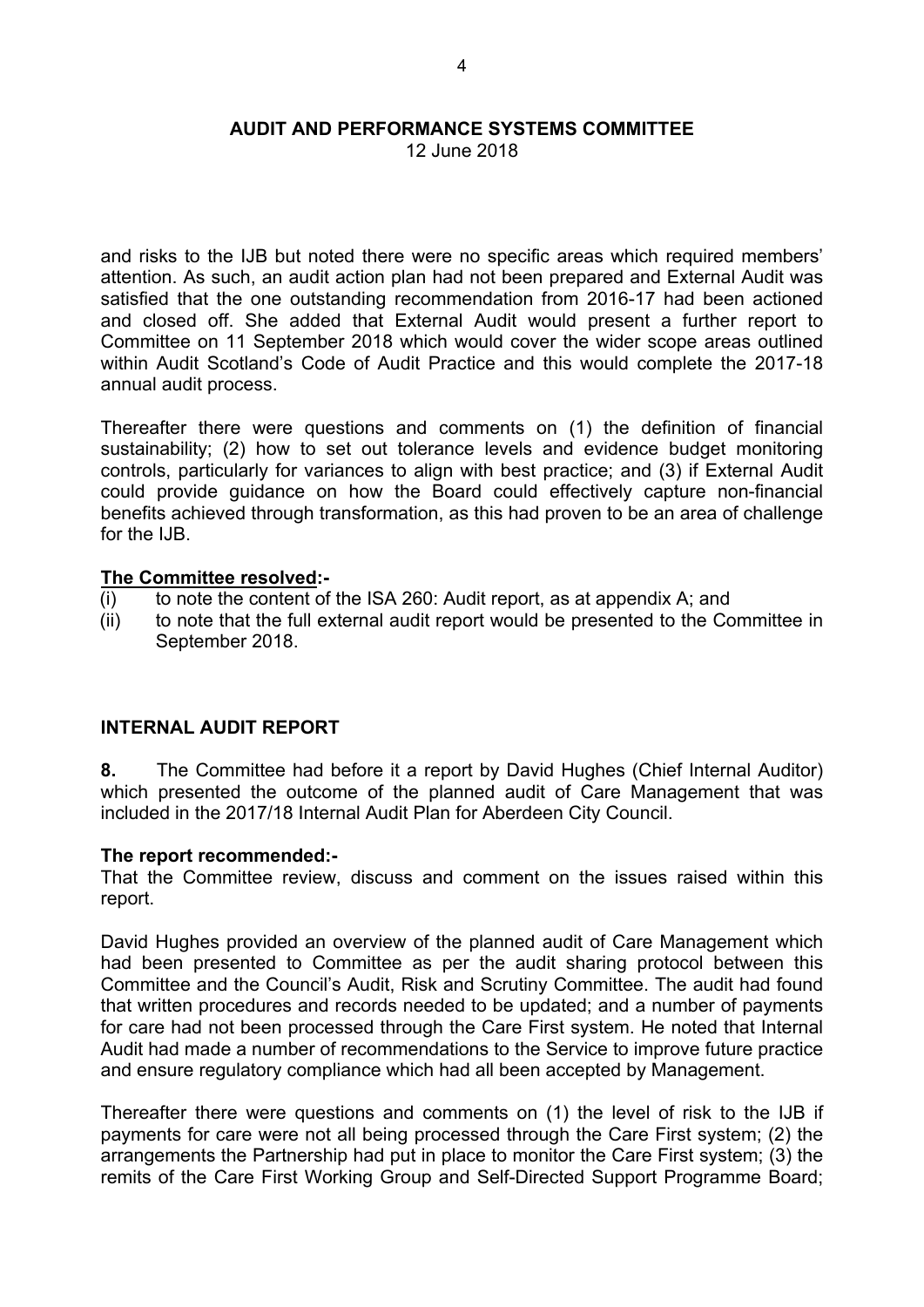12 June 2018

and risks to the IJB but noted there were no specific areas which required members' attention. As such, an audit action plan had not been prepared and External Audit was satisfied that the one outstanding recommendation from 2016-17 had been actioned and closed off. She added that External Audit would present a further report to Committee on 11 September 2018 which would cover the wider scope areas outlined within Audit Scotland's Code of Audit Practice and this would complete the 2017-18 annual audit process.

Thereafter there were questions and comments on (1) the definition of financial sustainability; (2) how to set out tolerance levels and evidence budget monitoring controls, particularly for variances to align with best practice; and (3) if External Audit could provide guidance on how the Board could effectively capture non-financial benefits achieved through transformation, as this had proven to be an area of challenge for the IJB.

#### **The Committee resolved:-**

- (i) to note the content of the ISA 260: Audit report, as at appendix A; and
- (ii) to note that the full external audit report would be presented to the Committee in September 2018.

# **INTERNAL AUDIT REPORT**

**8.** The Committee had before it a report by David Hughes (Chief Internal Auditor) which presented the outcome of the planned audit of Care Management that was included in the 2017/18 Internal Audit Plan for Aberdeen City Council.

#### **The report recommended:-**

That the Committee review, discuss and comment on the issues raised within this report.

David Hughes provided an overview of the planned audit of Care Management which had been presented to Committee as per the audit sharing protocol between this Committee and the Council's Audit, Risk and Scrutiny Committee. The audit had found that written procedures and records needed to be updated; and a number of payments for care had not been processed through the Care First system. He noted that Internal Audit had made a number of recommendations to the Service to improve future practice and ensure regulatory compliance which had all been accepted by Management.

Thereafter there were questions and comments on (1) the level of risk to the IJB if payments for care were not all being processed through the Care First system; (2) the arrangements the Partnership had put in place to monitor the Care First system; (3) the remits of the Care First Working Group and Self-Directed Support Programme Board;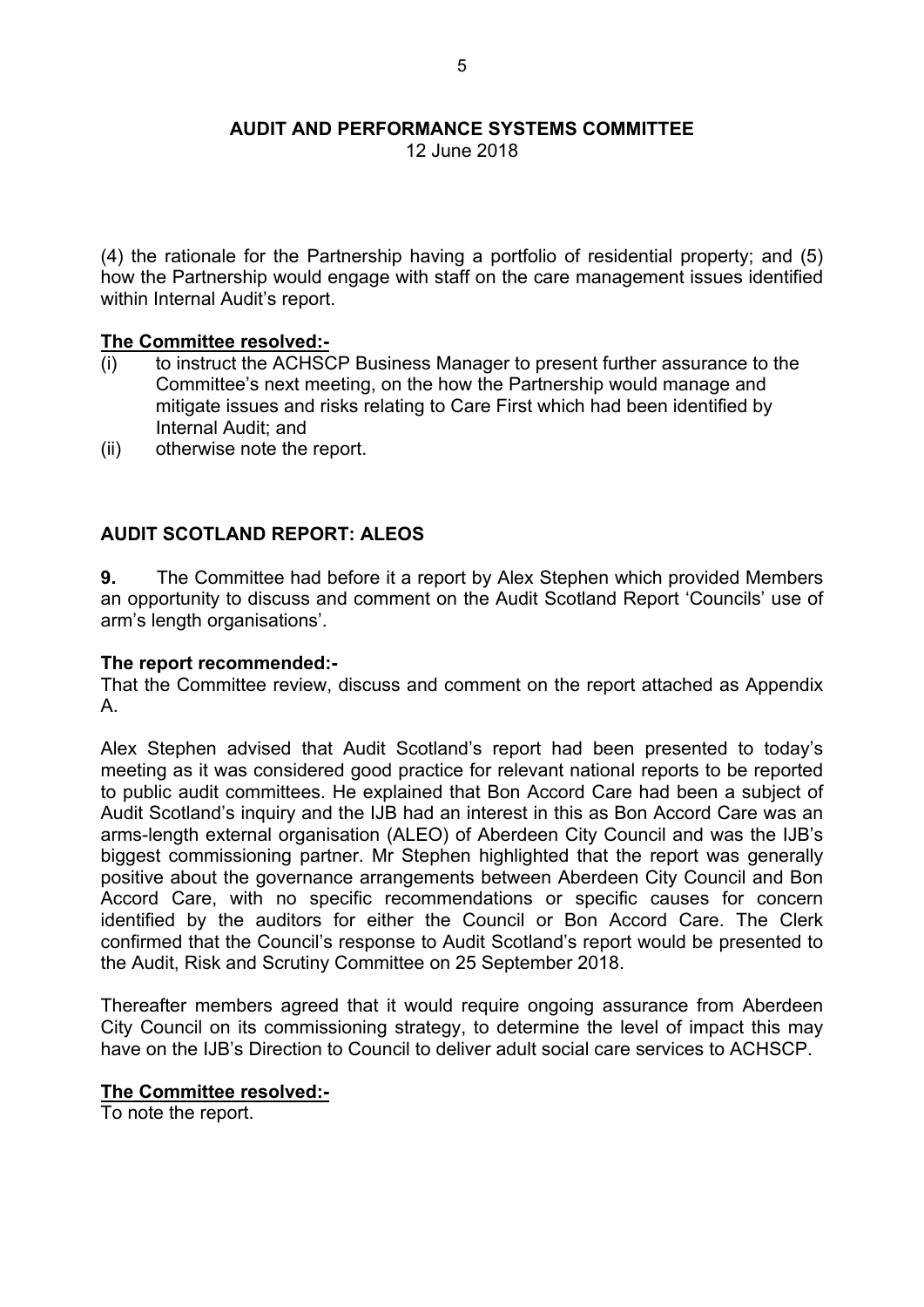12 June 2018

(4) the rationale for the Partnership having a portfolio of residential property; and (5) how the Partnership would engage with staff on the care management issues identified within Internal Audit's report.

#### **The Committee resolved:-**

- (i) to instruct the ACHSCP Business Manager to present further assurance to the Committee's next meeting, on the how the Partnership would manage and mitigate issues and risks relating to Care First which had been identified by Internal Audit; and
- (ii) otherwise note the report.

### **AUDIT SCOTLAND REPORT: ALEOS**

**9.** The Committee had before it a report by Alex Stephen which provided Members an opportunity to discuss and comment on the Audit Scotland Report 'Councils' use of arm's length organisations'.

#### **The report recommended:-**

That the Committee review, discuss and comment on the report attached as Appendix A.

Alex Stephen advised that Audit Scotland's report had been presented to today's meeting as it was considered good practice for relevant national reports to be reported to public audit committees. He explained that Bon Accord Care had been a subject of Audit Scotland's inquiry and the IJB had an interest in this as Bon Accord Care was an arms-length external organisation (ALEO) of Aberdeen City Council and was the IJB's biggest commissioning partner. Mr Stephen highlighted that the report was generally positive about the governance arrangements between Aberdeen City Council and Bon Accord Care, with no specific recommendations or specific causes for concern identified by the auditors for either the Council or Bon Accord Care. The Clerk confirmed that the Council's response to Audit Scotland's report would be presented to the Audit, Risk and Scrutiny Committee on 25 September 2018.

Thereafter members agreed that it would require ongoing assurance from Aberdeen City Council on its commissioning strategy, to determine the level of impact this may have on the IJB's Direction to Council to deliver adult social care services to ACHSCP.

#### **The Committee resolved:-**

To note the report.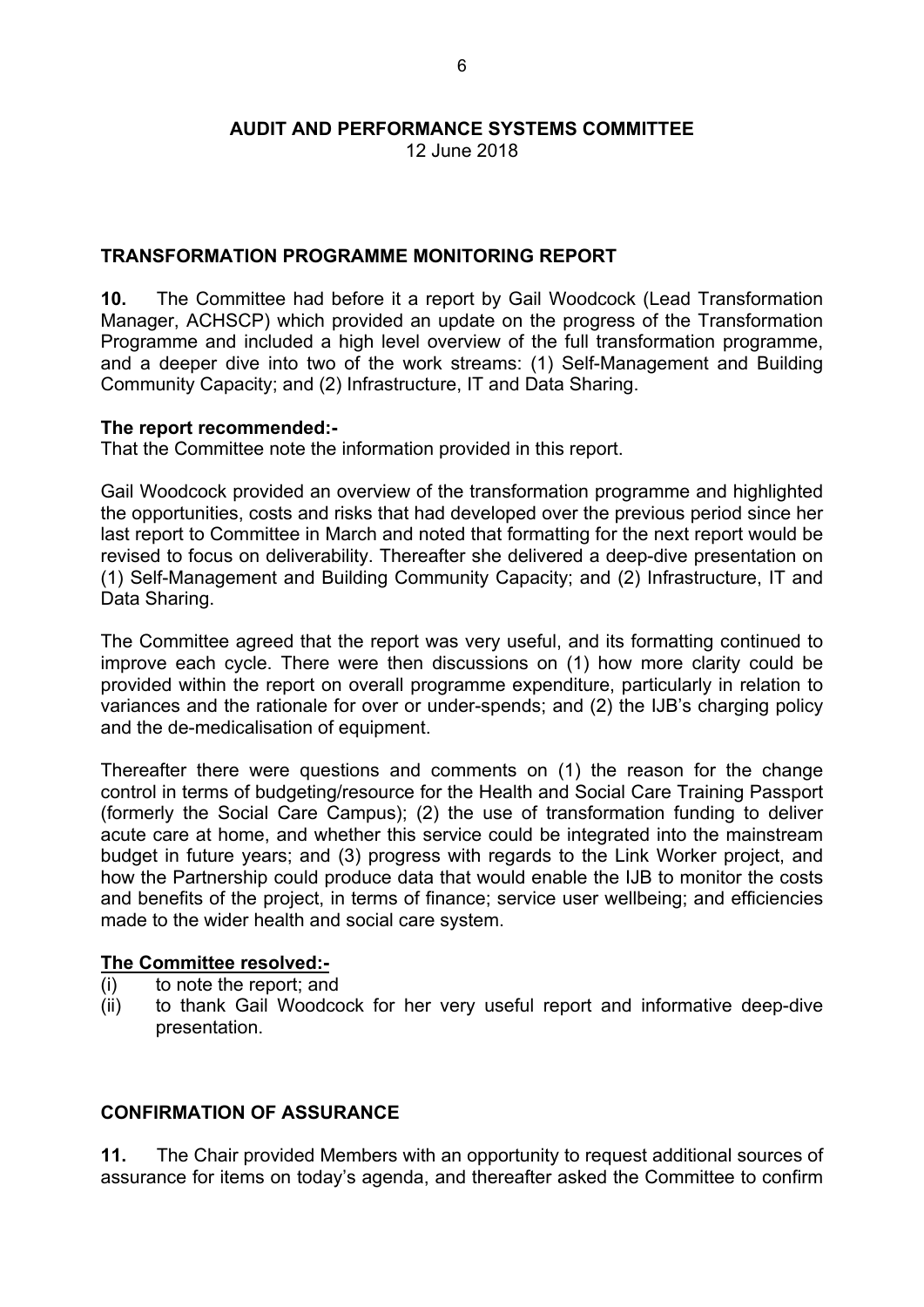12 June 2018

# **TRANSFORMATION PROGRAMME MONITORING REPORT**

**10.** The Committee had before it a report by Gail Woodcock (Lead Transformation Manager, ACHSCP) which provided an update on the progress of the Transformation Programme and included a high level overview of the full transformation programme, and a deeper dive into two of the work streams: (1) Self-Management and Building Community Capacity; and (2) Infrastructure, IT and Data Sharing.

#### **The report recommended:-**

That the Committee note the information provided in this report.

Gail Woodcock provided an overview of the transformation programme and highlighted the opportunities, costs and risks that had developed over the previous period since her last report to Committee in March and noted that formatting for the next report would be revised to focus on deliverability. Thereafter she delivered a deep-dive presentation on (1) Self-Management and Building Community Capacity; and (2) Infrastructure, IT and Data Sharing.

The Committee agreed that the report was very useful, and its formatting continued to improve each cycle. There were then discussions on (1) how more clarity could be provided within the report on overall programme expenditure, particularly in relation to variances and the rationale for over or under-spends; and (2) the IJB's charging policy and the de-medicalisation of equipment.

Thereafter there were questions and comments on (1) the reason for the change control in terms of budgeting/resource for the Health and Social Care Training Passport (formerly the Social Care Campus); (2) the use of transformation funding to deliver acute care at home, and whether this service could be integrated into the mainstream budget in future years; and (3) progress with regards to the Link Worker project, and how the Partnership could produce data that would enable the IJB to monitor the costs and benefits of the project, in terms of finance; service user wellbeing; and efficiencies made to the wider health and social care system.

# **The Committee resolved:-**

- (i) to note the report; and
- (ii) to thank Gail Woodcock for her very useful report and informative deep-dive presentation.

# **CONFIRMATION OF ASSURANCE**

**11.** The Chair provided Members with an opportunity to request additional sources of assurance for items on today's agenda, and thereafter asked the Committee to confirm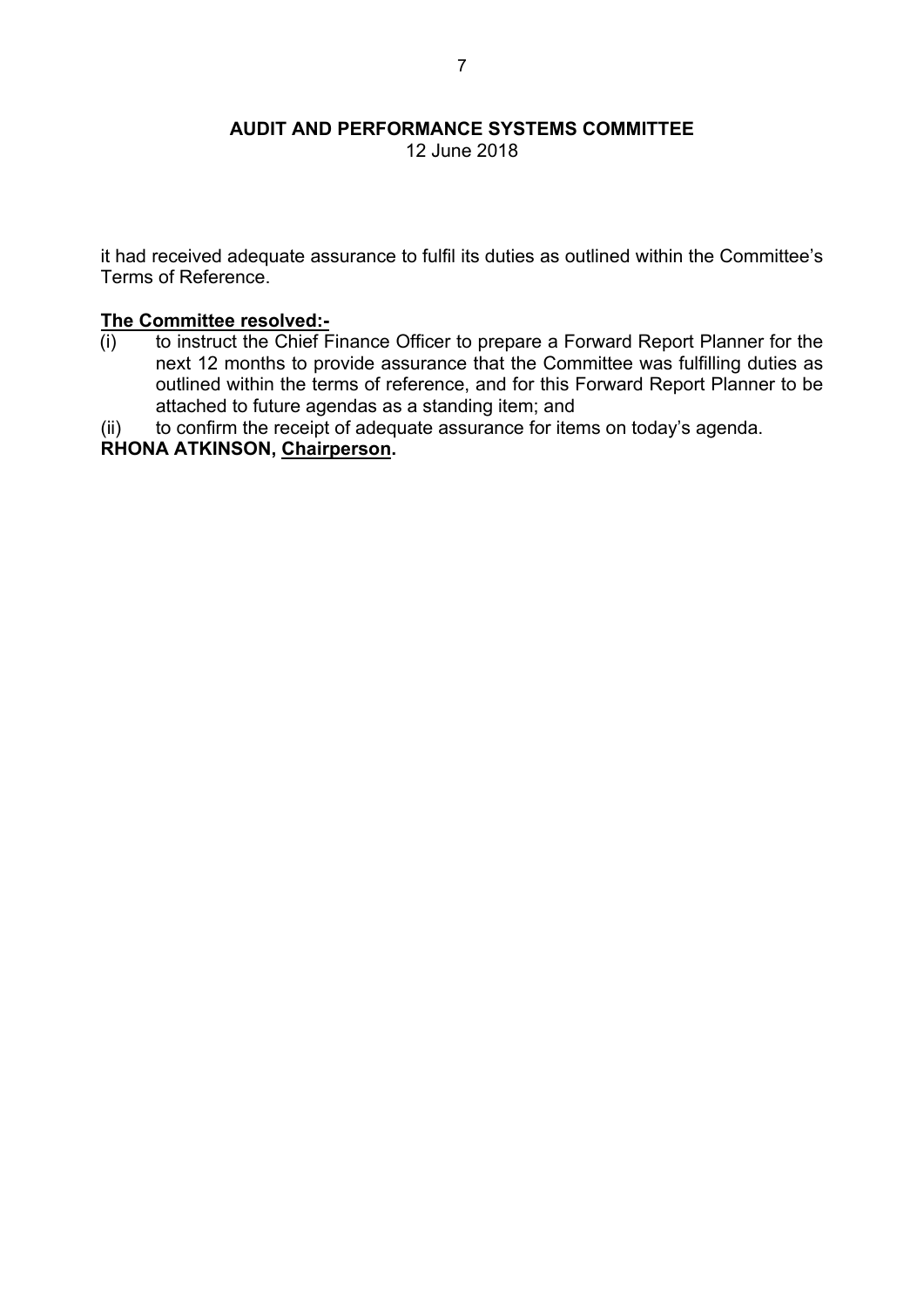12 June 2018

it had received adequate assurance to fulfil its duties as outlined within the Committee's Terms of Reference.

#### **The Committee resolved:-**

- (i) to instruct the Chief Finance Officer to prepare a Forward Report Planner for the next 12 months to provide assurance that the Committee was fulfilling duties as outlined within the terms of reference, and for this Forward Report Planner to be attached to future agendas as a standing item; and
- (ii) to confirm the receipt of adequate assurance for items on today's agenda.

**RHONA ATKINSON, Chairperson.**